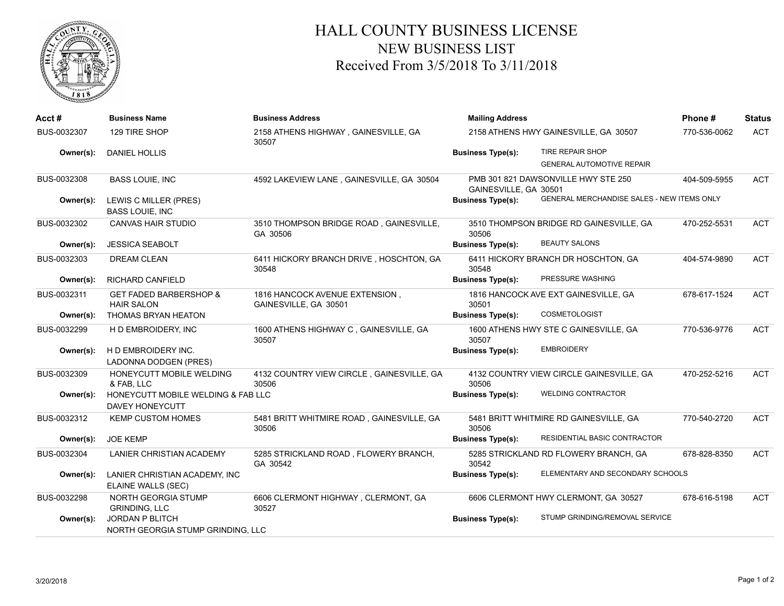

## HALL COUNTY BUSINESS LICENSE NEW BUSINESS LIST Received From 3/5/2018 To 3/11/2018

| Acct#       | <b>Business Name</b>                                         | <b>Business Address</b>                                 | <b>Mailing Address</b>   |                                            | Phone#       | <b>Status</b> |
|-------------|--------------------------------------------------------------|---------------------------------------------------------|--------------------------|--------------------------------------------|--------------|---------------|
| BUS-0032307 | 129 TIRE SHOP                                                | 2158 ATHENS HIGHWAY, GAINESVILLE, GA<br>30507           |                          | 2158 ATHENS HWY GAINESVILLE, GA 30507      | 770-536-0062 | <b>ACT</b>    |
| Owner(s):   | <b>DANIEL HOLLIS</b>                                         |                                                         | <b>Business Type(s):</b> | TIRE REPAIR SHOP                           |              |               |
|             |                                                              |                                                         |                          | <b>GENERAL AUTOMOTIVE REPAIR</b>           |              |               |
| BUS-0032308 | <b>BASS LOUIE, INC</b>                                       | 4592 LAKEVIEW LANE, GAINESVILLE, GA 30504               | GAINESVILLE, GA 30501    | PMB 301 821 DAWSONVILLE HWY STE 250        | 404-509-5955 | <b>ACT</b>    |
| Owner(s):   | LEWIS C MILLER (PRES)<br><b>BASS LOUIE, INC</b>              |                                                         | <b>Business Type(s):</b> | GENERAL MERCHANDISE SALES - NEW ITEMS ONLY |              |               |
| BUS-0032302 | <b>CANVAS HAIR STUDIO</b>                                    | 3510 THOMPSON BRIDGE ROAD, GAINESVILLE,<br>GA 30506     | 30506                    | 3510 THOMPSON BRIDGE RD GAINESVILLE, GA    | 470-252-5531 | <b>ACT</b>    |
| Owner(s):   | <b>JESSICA SEABOLT</b>                                       |                                                         | <b>Business Type(s):</b> | <b>BEAUTY SALONS</b>                       |              |               |
| BUS-0032303 | <b>DREAM CLEAN</b>                                           | 6411 HICKORY BRANCH DRIVE, HOSCHTON, GA<br>30548        | 30548                    | 6411 HICKORY BRANCH DR HOSCHTON, GA        | 404-574-9890 | <b>ACT</b>    |
| Owner(s):   | <b>RICHARD CANFIELD</b>                                      |                                                         | <b>Business Type(s):</b> | PRESSURE WASHING                           |              |               |
| BUS-0032311 | <b>GET FADED BARBERSHOP &amp;</b><br><b>HAIR SALON</b>       | 1816 HANCOCK AVENUE EXTENSION,<br>GAINESVILLE, GA 30501 | 30501                    | 1816 HANCOCK AVE EXT GAINESVILLE, GA       | 678-617-1524 | <b>ACT</b>    |
| Owner(s):   | THOMAS BRYAN HEATON                                          |                                                         | <b>Business Type(s):</b> | <b>COSMETOLOGIST</b>                       |              |               |
| BUS-0032299 | H D EMBROIDERY, INC                                          | 1600 ATHENS HIGHWAY C, GAINESVILLE, GA<br>30507         | 30507                    | 1600 ATHENS HWY STE C GAINESVILLE, GA      | 770-536-9776 | <b>ACT</b>    |
| Owner(s):   | H D EMBROIDERY INC.<br><b>LADONNA DODGEN (PRES)</b>          |                                                         | <b>Business Type(s):</b> | <b>EMBROIDERY</b>                          |              |               |
| BUS-0032309 | HONEYCUTT MOBILE WELDING<br>& FAB. LLC                       | 4132 COUNTRY VIEW CIRCLE, GAINESVILLE, GA<br>30506      | 30506                    | 4132 COUNTRY VIEW CIRCLE GAINESVILLE, GA   | 470-252-5216 | <b>ACT</b>    |
| Owner(s):   | HONEYCUTT MOBILE WELDING & FAB LLC<br><b>DAVEY HONEYCUTT</b> |                                                         | <b>Business Type(s):</b> | <b>WELDING CONTRACTOR</b>                  |              |               |
| BUS-0032312 | <b>KEMP CUSTOM HOMES</b>                                     | 5481 BRITT WHITMIRE ROAD, GAINESVILLE, GA<br>30506      | 30506                    | 5481 BRITT WHITMIRE RD GAINESVILLE, GA     | 770-540-2720 | <b>ACT</b>    |
| Owner(s):   | <b>JOE KEMP</b>                                              |                                                         | <b>Business Type(s):</b> | RESIDENTIAL BASIC CONTRACTOR               |              |               |
| BUS-0032304 | LANIER CHRISTIAN ACADEMY                                     | 5285 STRICKLAND ROAD, FLOWERY BRANCH,<br>GA 30542       | 30542                    | 5285 STRICKLAND RD FLOWERY BRANCH, GA      | 678-828-8350 | <b>ACT</b>    |
| Owner(s):   | LANIER CHRISTIAN ACADEMY, INC<br>ELAINE WALLS (SEC)          |                                                         | <b>Business Type(s):</b> | ELEMENTARY AND SECONDARY SCHOOLS           |              |               |
| BUS-0032298 | NORTH GEORGIA STUMP<br><b>GRINDING, LLC</b>                  | 6606 CLERMONT HIGHWAY, CLERMONT, GA<br>30527            |                          | 6606 CLERMONT HWY CLERMONT, GA 30527       | 678-616-5198 | <b>ACT</b>    |
| Owner(s):   | JORDAN P BLITCH<br>NORTH GEORGIA STUMP GRINDING, LLC         |                                                         | <b>Business Type(s):</b> | STUMP GRINDING/REMOVAL SERVICE             |              |               |